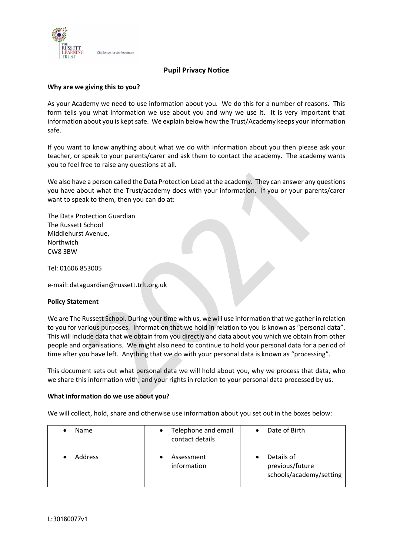

# **Pupil Privacy Notice**

### **Why are we giving this to you?**

As your Academy we need to use information about you. We do this for a number of reasons. This form tells you what information we use about you and why we use it. It is very important that information about you is kept safe. We explain below how the Trust/Academy keeps your information safe.

If you want to know anything about what we do with information about you then please ask your teacher, or speak to your parents/carer and ask them to contact the academy. The academy wants you to feel free to raise any questions at all.

We also have a person called the Data Protection Lead at the academy. They can answer any questions you have about what the Trust/academy does with your information. If you or your parents/carer want to speak to them, then you can do at:

The Data Protection Guardian The Russett School Middlehurst Avenue, **Northwich** CW8 3BW

Tel: 01606 853005

e-mail: dataguardian@russett.trlt.org.uk

#### **Policy Statement**

We are The Russett School. During your time with us, we will use information that we gather in relation to you for various purposes. Information that we hold in relation to you is known as "personal data". This will include data that we obtain from you directly and data about you which we obtain from other people and organisations. We might also need to continue to hold your personal data for a period of time after you have left. Anything that we do with your personal data is known as "processing".

This document sets out what personal data we will hold about you, why we process that data, who we share this information with, and your rights in relation to your personal data processed by us.

#### **What information do we use about you?**

We will collect, hold, share and otherwise use information about you set out in the boxes below:

| Name           | Telephone and email<br>٠<br>contact details | Date of Birth                                            |
|----------------|---------------------------------------------|----------------------------------------------------------|
| <b>Address</b> | Assessment<br>information                   | Details of<br>previous/future<br>schools/academy/setting |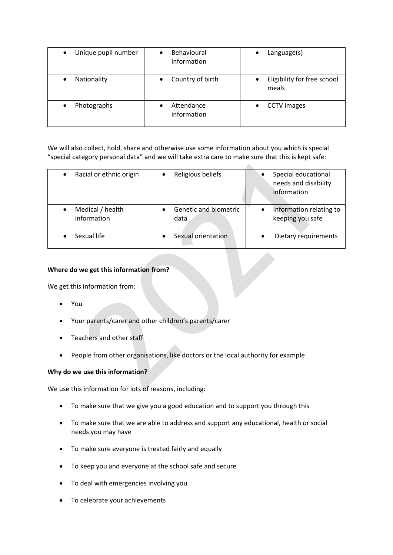| Unique pupil number<br>$\bullet$ | Behavioural<br>information    | $L$ anguage $(s)$<br>$\bullet$                    |
|----------------------------------|-------------------------------|---------------------------------------------------|
| Nationality<br>$\bullet$         | Country of birth<br>$\bullet$ | Eligibility for free school<br>$\bullet$<br>meals |
| Photographs<br>$\bullet$         | Attendance<br>information     | <b>CCTV</b> images                                |

We will also collect, hold, share and otherwise use some information about you which is special "special category personal data" and we will take extra care to make sure that this is kept safe:

| Racial or ethnic origin<br>$\bullet$ | Religious beliefs             | Special educational<br>needs and disability<br>information |
|--------------------------------------|-------------------------------|------------------------------------------------------------|
| Medical / health<br>information      | Genetic and biometric<br>data | Information relating to<br>keeping you safe                |
| Sexual life                          | Sexual orientation            | Dietary requirements                                       |

# **Where do we get this information from?**

We get this information from:

- You
- Your parents/carer and other children's parents/carer
- Teachers and other staff
- People from other organisations, like doctors or the local authority for example

# **Why do we use this information?**

We use this information for lots of reasons, including:

- To make sure that we give you a good education and to support you through this
- To make sure that we are able to address and support any educational, health or social needs you may have
- To make sure everyone is treated fairly and equally
- To keep you and everyone at the school safe and secure
- To deal with emergencies involving you
- To celebrate your achievements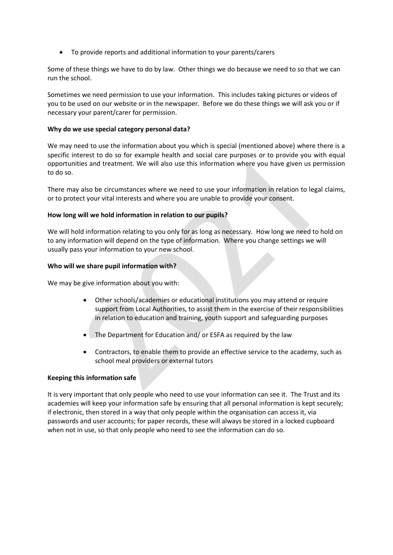• To provide reports and additional information to your parents/carers

Some of these things we have to do by law. Other things we do because we need to so that we can run the school.

Sometimes we need permission to use your information. This includes taking pictures or videos of you to be used on our website or in the newspaper. Before we do these things we will ask you or if necessary your parent/carer for permission.

## **Why do we use special category personal data?**

We may need to use the information about you which is special (mentioned above) where there is a specific interest to do so for example health and social care purposes or to provide you with equal opportunities and treatment. We will also use this information where you have given us permission to do so.

There may also be circumstances where we need to use your information in relation to legal claims, or to protect your vital interests and where you are unable to provide your consent.

# **How long will we hold information in relation to our pupils?**

We will hold information relating to you only for as long as necessary. How long we need to hold on to any information will depend on the type of information. Where you change settings we will usually pass your information to your new school.

# **Who will we share pupil information with?**

We may be give information about you with:

- Other schools/academies or educational institutions you may attend or require support from Local Authorities, to assist them in the exercise of their responsibilities in relation to education and training, youth support and safeguarding purposes
- The Department for Education and/ or ESFA as required by the law
- Contractors, to enable them to provide an effective service to the academy, such as school meal providers or external tutors

## **Keeping this information safe**

It is very important that only people who need to use your information can see it. The Trust and its academies will keep your information safe by ensuring that all personal information is kept securely; if electronic, then stored in a way that only people within the organisation can access it, via passwords and user accounts; for paper records, these will always be stored in a locked cupboard when not in use, so that only people who need to see the information can do so.